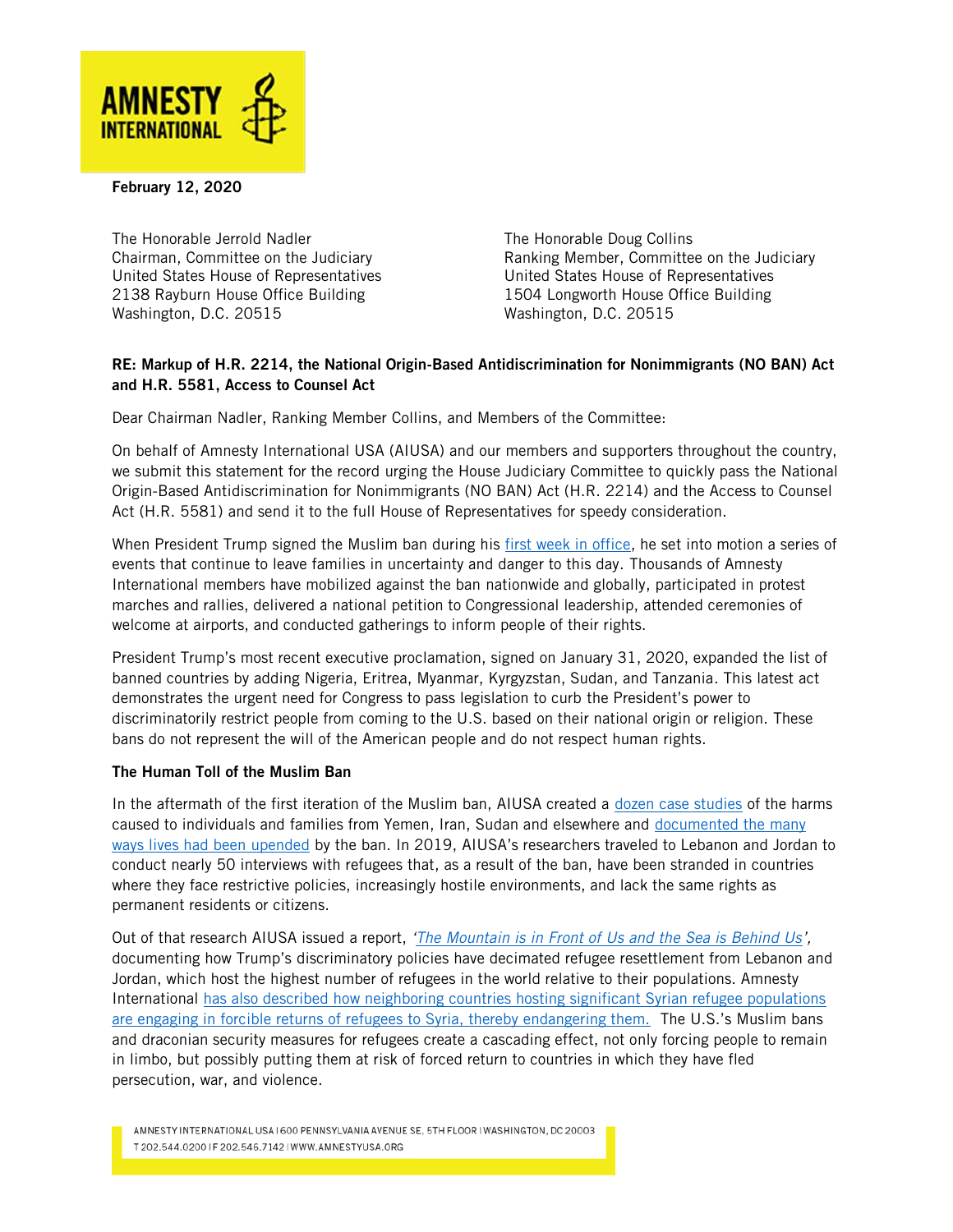

February 12, 2020

The Honorable Jerrold Nadler The Honorable Doug Collins United States House of Representatives United States House of Representatives 2138 Rayburn House Office Building 1504 Longworth House Office Building Washington, D.C. 20515 Washington, D.C. 20515

Chairman, Committee on the Judiciary Ranking Member, Committee on the Judiciary

## RE: Markup of H.R. 2214, the National Origin-Based Antidiscrimination for Nonimmigrants (NO BAN) Act and H.R. 5581, Access to Counsel Act

Dear Chairman Nadler, Ranking Member Collins, and Members of the Committee:

On behalf of Amnesty International USA (AIUSA) and our members and supporters throughout the country, we submit this statement for the record urging the House Judiciary Committee to quickly pass the National Origin-Based Antidiscrimination for Nonimmigrants (NO BAN) Act (H.R. 2214) and the Access to Counsel Act (H.R. 5581) and send it to the full House of Representatives for speedy consideration.

When President Trump signed the Muslim ban during his [first week in office,](https://www.amnestyusa.org/press-releases/we-will-fight-trumps-effort-to-close-u-s-borders/) he set into motion a series of events that continue to leave families in uncertainty and danger to this day. Thousands of Amnesty International members have mobilized against the ban nationwide and globally, participated in protest marches and rallies, delivered a national petition to Congressional leadership, attended ceremonies of welcome at airports, and conducted gatherings to inform people of their rights.

President Trump's most recent executive proclamation, signed on January 31, 2020, expanded the list of banned countries by adding Nigeria, Eritrea, Myanmar, Kyrgyzstan, Sudan, and Tanzania. This latest act demonstrates the urgent need for Congress to pass legislation to curb the President's power to discriminatorily restrict people from coming to the U.S. based on their national origin or religion. These bans do not represent the will of the American people and do not respect human rights.

## The Human Toll of the Muslim Ban

In the aftermath of the first iteration of the Muslim ban, AIUSA created a [dozen case studies](https://www.amnestyusa.org/reports/my-family-is-in-shock-the-harm-caused-by-president-trump-s-executive-orders-on-travel-to-the-us/) of the harms caused to individuals and families from Yemen, Iran, Sudan and elsewhere and [documented the many](https://medium.com/@amnestyusa/seven-people-whose-lives-have-been-upended-by-the-muslim-ban-df137d9c66c4)  [ways lives had been upended](https://medium.com/@amnestyusa/seven-people-whose-lives-have-been-upended-by-the-muslim-ban-df137d9c66c4) by the ban. In 2019, AIUSA's researchers traveled to Lebanon and Jordan to conduct nearly 50 interviews with refugees that, as a result of the ban, have been stranded in countries where they face restrictive policies, increasingly hostile environments, and lack the same rights as permanent residents or citizens.

Out of that research AIUSA issued a report, *'[The Mountain is in Front of Us and the Sea is Behind Us](https://www.amnestyusa.org/press-releases/report-over-two-years-later-families-still-left-in-limbo-after-trumps-muslim-ban-face-impossible-circumstances/)',* documenting how Trump's discriminatory policies have decimated refugee resettlement from Lebanon and Jordan, which host the highest number of refugees in the world relative to their populations. Amnesty International [has also described](https://www.amnestyusa.org/wp-content/uploads/2019/06/QA-Why-Are-Returns-of-Refugees-From-Lebanon-To-Syria-Premature.pdf) how neighboring countries hosting significant Syrian refugee populations are engaging in forcible returns of refugees to Syria, thereby endangering them. The U.S.'s Muslim bans and draconian security measures for refugees create a cascading effect, not only forcing people to remain in limbo, but possibly putting them at risk of forced return to countries in which they have fled persecution, war, and violence.

AMNESTY INTERNATIONAL USA 1600 PENNSYLVANIA AVENUE SE, 5TH FLOOR I WASHINGTON, DC 20003 T 202.544.0200 | F 202.546.7142 | WWW.AMNESTYUSA.ORG